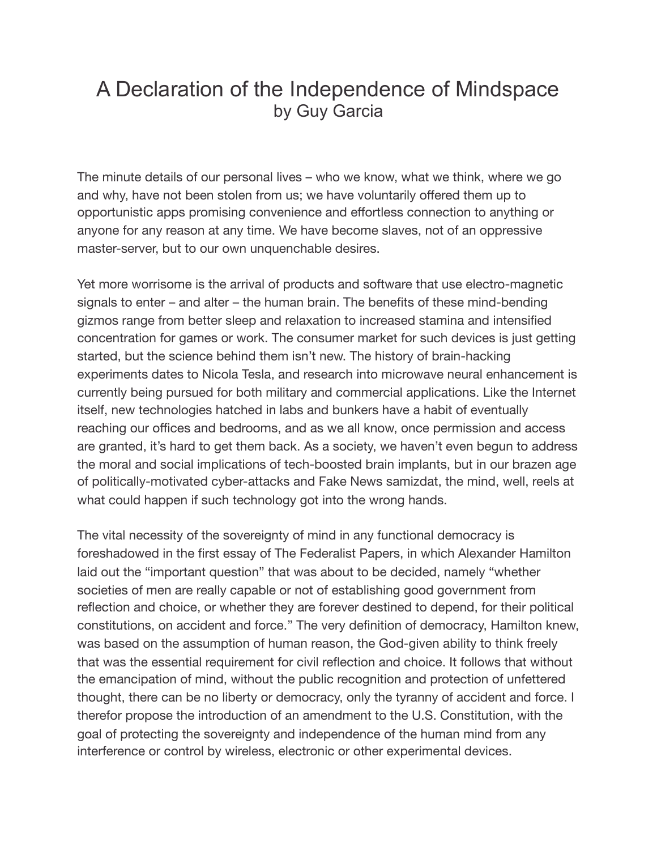## A Declaration of the Independence of Mindspace by Guy Garcia

The minute details of our personal lives – who we know, what we think, where we go and why, have not been stolen from us; we have voluntarily offered them up to opportunistic apps promising convenience and effortless connection to anything or anyone for any reason at any time. We have become slaves, not of an oppressive master-server, but to our own unquenchable desires.

Yet more worrisome is the arrival of products and software that use electro-magnetic signals to enter – and alter – the human brain. The benefits of these mind-bending gizmos range from better sleep and relaxation to increased stamina and intensified concentration for games or work. The consumer market for such devices is just getting started, but the science behind them isn't new. The history of brain-hacking experiments dates to Nicola Tesla, and research into microwave neural enhancement is currently being pursued for both military and commercial applications. Like the Internet itself, new technologies hatched in labs and bunkers have a habit of eventually reaching our offices and bedrooms, and as we all know, once permission and access are granted, it's hard to get them back. As a society, we haven't even begun to address the moral and social implications of tech-boosted brain implants, but in our brazen age of politically-motivated cyber-attacks and Fake News samizdat, the mind, well, reels at what could happen if such technology got into the wrong hands.

The vital necessity of the sovereignty of mind in any functional democracy is foreshadowed in the first essay of The Federalist Papers, in which Alexander Hamilton laid out the "important question" that was about to be decided, namely "whether societies of men are really capable or not of establishing good government from reflection and choice, or whether they are forever destined to depend, for their political constitutions, on accident and force." The very definition of democracy, Hamilton knew, was based on the assumption of human reason, the God-given ability to think freely that was the essential requirement for civil reflection and choice. It follows that without the emancipation of mind, without the public recognition and protection of unfettered thought, there can be no liberty or democracy, only the tyranny of accident and force. I therefor propose the introduction of an amendment to the U.S. Constitution, with the goal of protecting the sovereignty and independence of the human mind from any interference or control by wireless, electronic or other experimental devices.